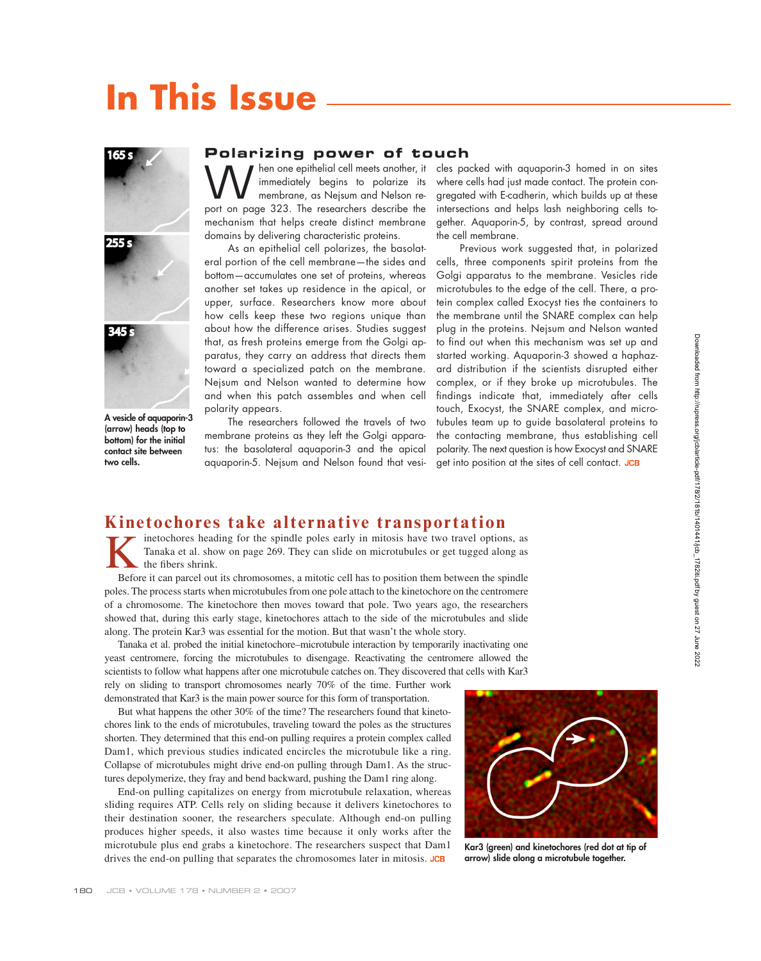# **In This Issue**





**A vesicle of aquaporin-3 (arrow) heads (top to bottom) for the initial contact site between two cells.**

#### **Polarizing power of touch**

W hen one epithelial cell meets another, it<br>membrane, as Nejsum and Nelson re-<br>nort on norm  $\frac{223}{100}$ . The recognisher describe the immediately begins to polarize its membrane, as Nejsum and Nelson report on page 323. The researchers describe the mechanism that helps create distinct membrane domains by delivering characteristic proteins.

As an epithelial cell polarizes, the basolateral portion of the cell membrane—the sides and bottom—accumulates one set of proteins, whereas another set takes up residence in the apical, or upper, surface. Researchers know more about how cells keep these two regions unique than about how the difference arises. Studies suggest that, as fresh proteins emerge from the Golgi apparatus, they carry an address that directs them toward a specialized patch on the membrane. Nejsum and Nelson wanted to determine how and when this patch assembles and when cell polarity appears.

The researchers followed the travels of two membrane proteins as they left the Golgi apparatus: the basolateral aquaporin-3 and the apical aquaporin-5. Nejsum and Nelson found that vesicles packed with aquaporin-3 homed in on sites where cells had just made contact. The protein congregated with E-cadherin, which builds up at these intersections and helps lash neighboring cells together. Aquaporin-5, by contrast, spread around the cell membrane.

Previous work suggested that, in polarized cells, three components spirit proteins from the Golgi apparatus to the membrane. Vesicles ride microtubules to the edge of the cell. There, a protein complex called Exocyst ties the containers to the membrane until the SNARE complex can help plug in the proteins. Nejsum and Nelson wanted to find out when this mechanism was set up and started working. Aquaporin-3 showed a haphazard distribution if the scientists disrupted either complex, or if they broke up microtubules. The findings indicate that, immediately after cells touch, Exocyst, the SNARE complex, and microtubules team up to guide basolateral proteins to the contacting membrane, thus establishing cell polarity. The next question is how Exocyst and SNARE get into position at the sites of cell contact. JCB

### **Kinetochores take alternative transportation**<br> **F** *F* inetochores heading for the spindle poles early in mitosis have two travel options, as

Interest in the spindle poles early in mitosis have two travel options, as<br>Tanaka et al. show on page 269. They can slide on microtubules or get tugged along as<br>the fibers shrink.<br>Before it can parcel out its chromosomes a Tanaka et al. show on page 269. They can slide on microtubules or get tugged along as the fibers shrink.

Before it can parcel out its chromosomes, a mitotic cell has to position them between the spindle poles. The process starts when microtubules from one pole attach to the kinetochore on the centromere of a chromosome. The kinetochore then moves toward that pole. Two years ago, the researchers showed that, during this early stage, kinetochores attach to the side of the microtubules and slide along. The protein Kar3 was essential for the motion. But that wasn't the whole story.

Tanaka et al. probed the initial kinetochore–microtubule interaction by temporarily inactivating one yeast centromere, forcing the microtubules to disengage. Reactivating the centromere allowed the scientists to follow what happens after one microtubule catches on. They discovered that cells with Kar3 rely on sliding to transport chromosomes nearly 70% of the time. Further work

demonstrated that Kar3 is the main power source for this form of transportation.

But what happens the other 30% of the time? The researchers found that kinetochores link to the ends of microtubules, traveling toward the poles as the structures shorten. They determined that this end-on pulling requires a protein complex called Dam1, which previous studies indicated encircles the microtubule like a ring. Collapse of microtubules might drive end-on pulling through Dam1. As the structures depolymerize, they fray and bend backward, pushing the Dam1 ring along.

End-on pulling capitalizes on energy from microtubule relaxation, whereas sliding requires ATP. Cells rely on sliding because it delivers kinetochores to their destination sooner, the researchers speculate. Although end-on pulling produces higher speeds, it also wastes time because it only works after the microtubule plus end grabs a kinetochore. The researchers suspect that Dam1 drives the end-on pulling that separates the chromosomes later in mitosis. JCB



**Kar3 (green) and kinetochores (red dot at tip of arrow) slide along a microtubule together.**